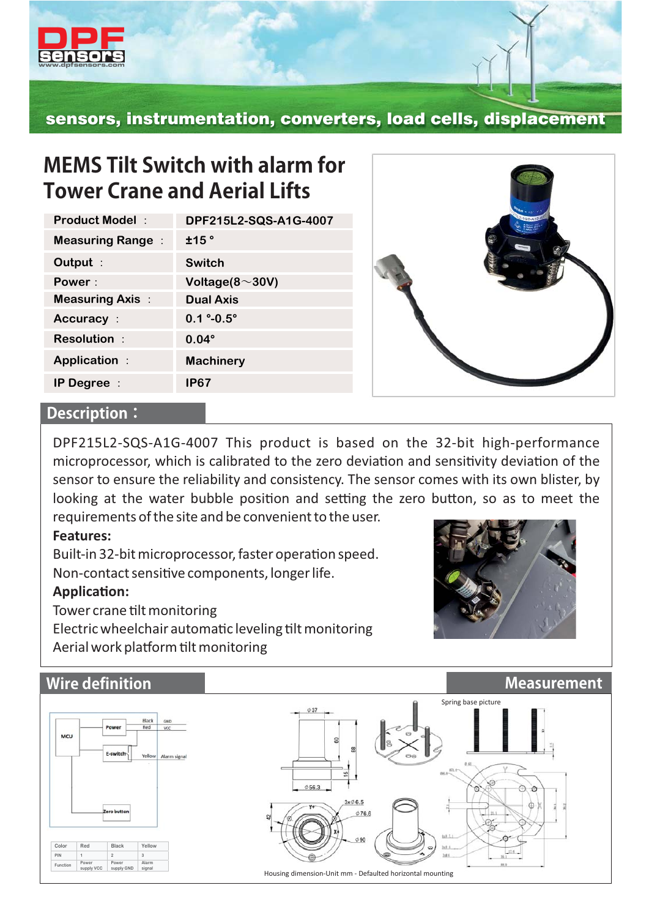

## sensors, instrumentation, converters, load cells, displacement

# **MEMS Tilt Switch with alarm for Tower Crane and Aerial Lifts**

| <b>Product Model:</b>   | DPF215L2-SQS-A1G-4007 |
|-------------------------|-----------------------|
| <b>Measuring Range:</b> | ±15°                  |
| Output :                | Switch                |
| Power:                  | Voltage $(8\sim)30V)$ |
| <b>Measuring Axis:</b>  | <b>Dual Axis</b>      |
| <b>Accuracy:</b>        | $0.1 °-0.5°$          |
| <b>Resolution:</b>      | $0.04^\circ$          |
| <b>Application:</b>     | <b>Machinery</b>      |
| IP Degree :             | IP67                  |



### **Description:**

DPF215L2-SQS-A1G-4007 This product is based on the 32-bit high-performance microprocessor, which is calibrated to the zero deviation and sensitivity deviation of the sensor to ensure the reliability and consistency. The sensor comes with its own blister, by looking at the water bubble position and setting the zero button, so as to meet the requirements of the site and be convenient to the user.

**Features:**

Built-in 32-bit microprocessor, faster operation speed. Non-contact sensitive components, longer life.

### Application:

Tower crane tilt monitoring

Electric wheelchair automatic leveling tilt monitoring Aerial work platform tilt monitoring



#### **Wire definition Measurement** Spring base pictureMCU F.cwite Alarm signa  $@56.3$ **Color Red Black Yellow PIN 1 2 3 Function Power Power Alarm supply VCC supply GND signal** Housing dimension-Unit mm - Defaulted horizontal mounting